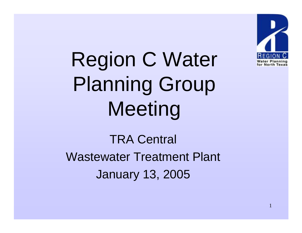

Region C Water Planning Group Meeting

TRA Central Wastewater Treatment Plant January 13, 2005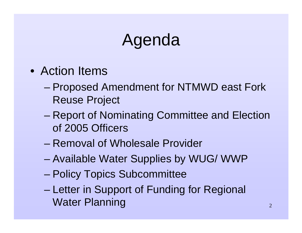## Agenda

- Action Items
	- – Proposed Amendment for NTMWD east Fork Reuse Project
	- – Report of Nominating Committee and Election of 2005 Officers
	- Removal of Wholesale Provider
	- –Available Water Supplies by WUG/ WWP
	- –Policy Topics Subcommittee
	- – Letter in Support of Funding for Regional Water Planning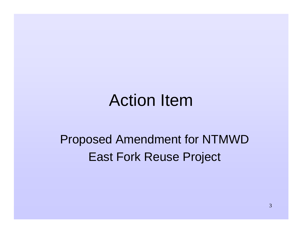## Action Item

#### Proposed Amendment for NTMWD East Fork Reuse Project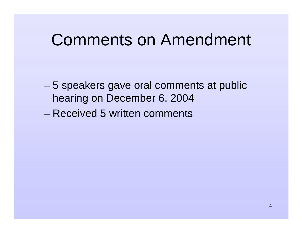### Comments on Amendment

- – 5 speakers gave oral comments at public hearing on December 6, 2004
- Received 5 written comments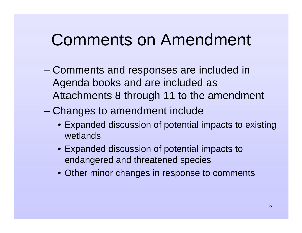### Comments on Amendment

- – Comments and responses are included in Agenda books and are included as Attachments 8 through 11 to the amendment
- Changes to amendment include
	- Expanded discussion of potential impacts to existing wetlands
	- Expanded discussion of potential impacts to endangered and threatened species
	- Other minor changes in response to comments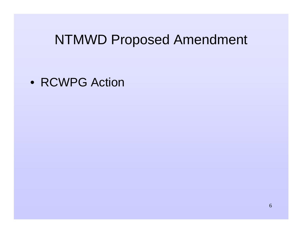#### NTMWD Proposed Amendment

• RCWPG Action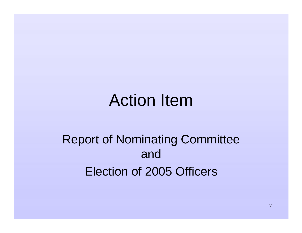## Action Item

#### Report of Nominating Committee andElection of 2005 Officers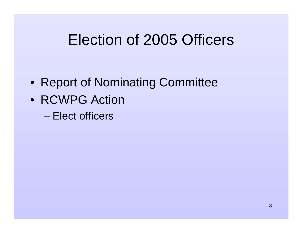### Election of 2005 Officers

- Report of Nominating Committee
- RCWPG Action
	- Elect officers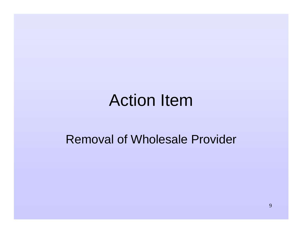### Action Item

#### Removal of Wholesale Provider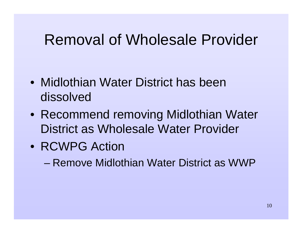### Removal of Wholesale Provider

- Midlothian Water District has been dissolved
- Recommend removing Midlothian Water District as Wholesale Water Provider
- RCWPG Action

– Remove Midlothian Water District as WWP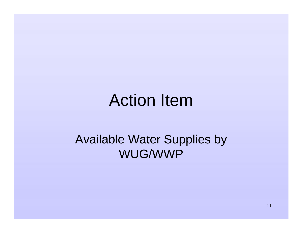## Action Item

#### Available Water Supplies by WUG/WWP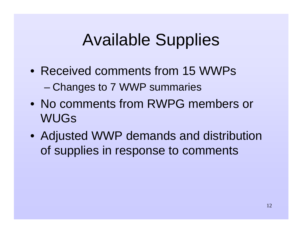## Available Supplies

- Received comments from 15 WWPs –Changes to 7 WWP summaries
- No comments from RWPG members or WUGs
- Adjusted WWP demands and distribution of supplies in response to comments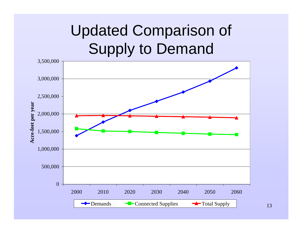## Updated Comparison of Supply to Demand



13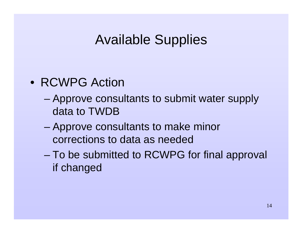#### Available Supplies

- RCWPG Action
	- – Approve consultants to submit water supply data to TWDB
	- – Approve consultants to make minor corrections to data as needed
	- To be submitted to RCWPG for final approval if changed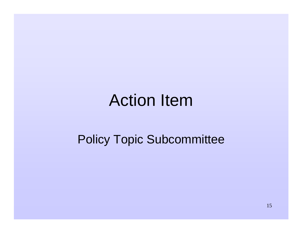## Action Item

#### Policy Topic Subcommittee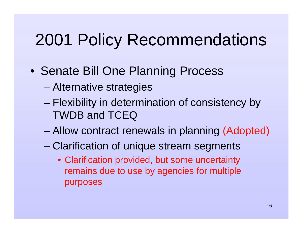- Senate Bill One Planning Process
	- –Alternative strategies
	- – Flexibility in determination of consistency by TWDB and TCEQ
	- –Allow contract renewals in planning (Adopted)
	- Clarification of unique stream segments
		- Clarification provided, but some uncertainty remains due to use by agencies for multiple purposes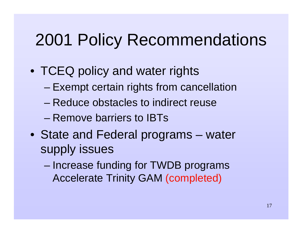- TCEQ policy and water rights
	- –Exempt certain rights from cancellation
	- Reduce obstacles to indirect reuse
	- Remove barriers to IBTs
- State and Federal programs water supply issues
	- – Increase funding for TWDB programs Accelerate Trinity GAM (completed)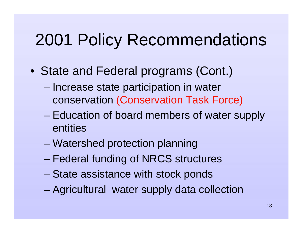- State and Federal programs (Cont.)
	- – Increase state participation in water conservation (Conservation Task Force)
	- – Education of board members of water supply entities
	- Watershed protection planning
	- –Federal funding of NRCS structures
	- –State assistance with stock ponds
	- –Agricultural water supply data collection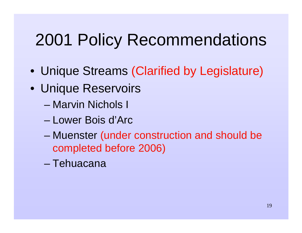- Unique Streams (Clarified by Legislature)
- Unique Reservoirs
	- Marvin Nichols I
	- Lower Bois d'Arc
	- – Muenster (under construction and should be completed before 2006)
	- Tehuacana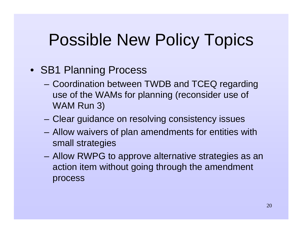## Possible New Policy Topics

#### • SB1 Planning Process

- Coordination between TWDB and TCEQ regarding use of the WAMs for planning (reconsider use of WAM Run 3)
- Clear guidance on resolving consistency issues
- Allow waivers of plan amendments for entities with small strategies
- Allow RWPG to approve alternative strategies as an action item without going through the amendment process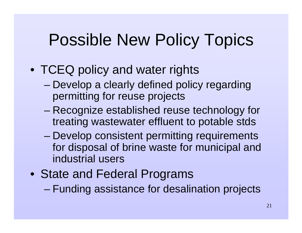## Possible New Policy Topics

- TCEQ policy and water rights
	- – Develop a clearly defined policy regarding permitting for reuse projects
	- – Recognize established reuse technology for treating wastewater effluent to potable stds
	- Develop consistent permitting requirements for disposal of brine waste for municipal and industrial users
- State and Federal Programs
	- –Funding assistance for desalination projects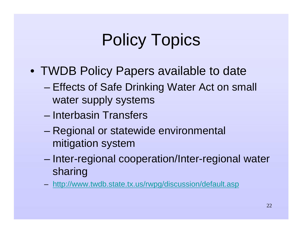# Policy Topics

- TWDB Policy Papers available to date
	- – Effects of Safe Drinking Water Act on small water supply systems
	- Interbasin Transfers
	- – Regional or statewide environmental mitigation system
	- – Inter-regional cooperation/Inter-regional water sharing
	- http://www.twdb.state.tx.us/rwpg/discussion/default.asp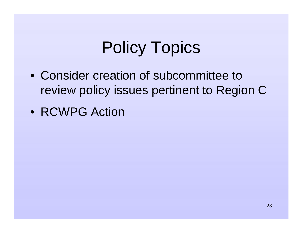# Policy Topics

- Consider creation of subcommittee to review policy issues pertinent to Region C
- RCWPG Action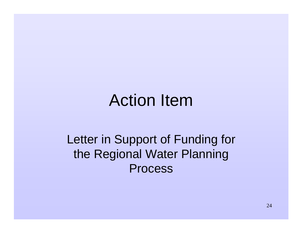## Action Item

#### Letter in Support of Funding for the Regional Water Planning Process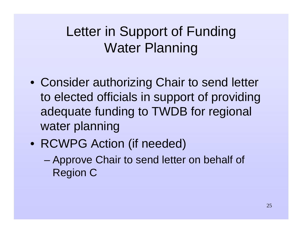### Letter in Support of Funding Water Planning

- Consider authorizing Chair to send letter to elected officials in support of providing adequate funding to TWDB for regional water planning
- RCWPG Action (if needed)
	- – Approve Chair to send letter on behalf of Region C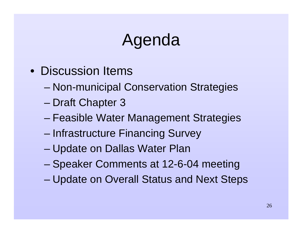## Agenda

- Discussion Items
	- –Non-municipal Conservation Strategies
	- –Draft Chapter 3
	- –Feasible Water Management Strategies
	- –Infrastructure Financing Survey
	- Update on Dallas Water Plan
	- –Speaker Comments at 12-6-04 meeting
	- –Update on Overall Status and Next Steps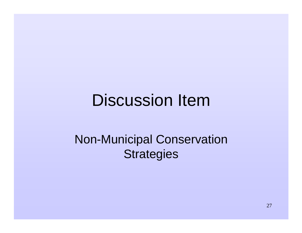## Discussion Item

#### Non-Municipal Conservation **Strategies**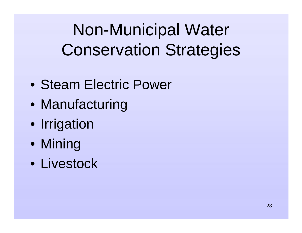Non-Municipal Water Conservation Strategies

- Steam Electric Power
- Manufacturing
- Irrigation
- Mining
- Livestock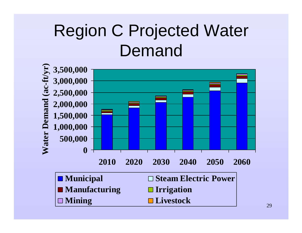# Region C Projected Water Demand

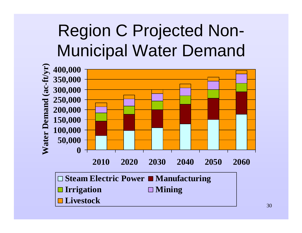# Region C Projected Non-Municipal Water Demand

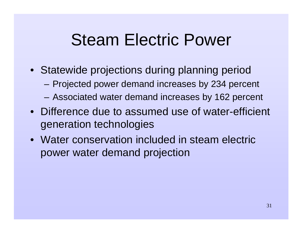## Steam Electric Power

- Statewide projections during planning period
	- Projected power demand increases by 234 percent
	- Associated water demand increases by 162 percent
- Difference due to assumed use of water-efficient generation technologies
- Water conservation included in steam electric power water demand projection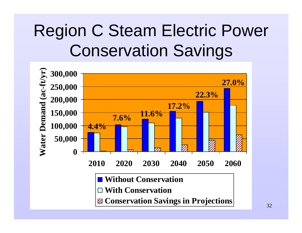# Region C Steam Electric Power Conservation Savings

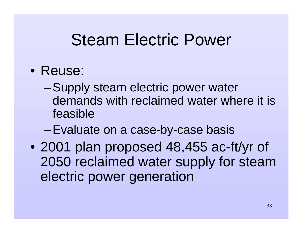## Steam Electric Power

- Reuse:
	- – Supply steam electric power water demands with reclaimed water where it is feasible
	- –Evaluate on a case-by-case basis
- 2001 plan proposed 48,455 ac-ft/yr of 2050 reclaimed water supply for steam electric power generation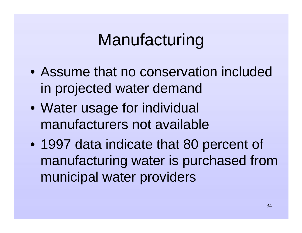# Manufacturing

- Assume that no conservation included in projected water demand
- Water usage for individual manufacturers not available
- 1997 data indicate that 80 percent of manufacturing water is purchased from municipal water providers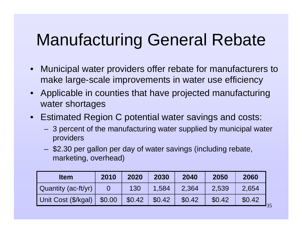# Manufacturing General Rebate

- $\bullet$  Municipal water providers offer rebate for manufacturers to make large-scale improvements in water use efficiency
- Applicable in counties that have projected manufacturing water shortages
- $\bullet$  Estimated Region C potential water savings and costs:
	- 3 percent of the manufacturing water supplied by municipal water providers
	- \$2.30 per gallon per day of water savings (including rebate, marketing, overhead)

| <b>Item</b>         | 2010   | 2020   | 2030   | 2040   | 2050   | 2060   |
|---------------------|--------|--------|--------|--------|--------|--------|
| Quantity (ac-ft/yr) |        | 130    | 1.584  | 2,364  | 2,539  | 2,654  |
| Unit Cost (\$/kgal) | \$0.00 | \$0.42 | \$0.42 | \$0.42 | \$0.42 | \$0.42 |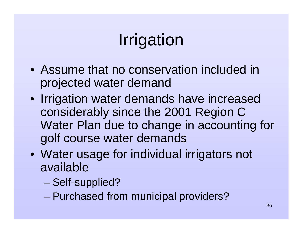# Irrigation

- Assume that no conservation included in projected water demand
- Irrigation water demands have increased considerably since the 2001 Region C Water Plan due to change in accounting for golf course water demands
- Water usage for individual irrigators not available
	- –Self-supplied?
	- –Purchased from municipal providers?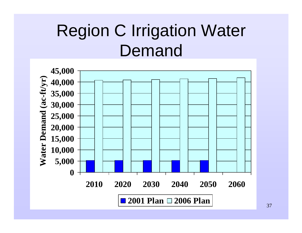# Region C Irrigation Water Demand

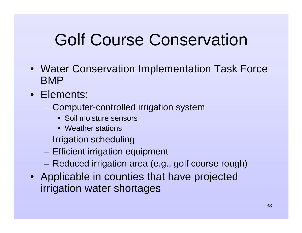## Golf Course Conservation

- Water Conservation Implementation Task Force BMP
- Elements:
	- Computer-controlled irrigation system
		- Soil moisture sensors
		- Weather stations
	- –Irrigation scheduling
	- Efficient irrigation equipment
	- Reduced irrigation area (e.g., golf course rough)
- Applicable in counties that have projected irrigation water shortages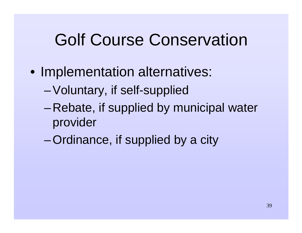#### Golf Course Conservation

- Implementation alternatives:
	- –Voluntary, if self-supplied
	- – Rebate, if supplied by municipal water provider
	- –Ordinance, if supplied by a city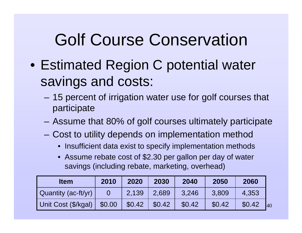### Golf Course Conservation

- Estimated Region C potential water savings and costs:
	- – 15 percent of irrigation water use for golf courses that participate
	- Assume that 80% of golf courses ultimately participate
	- Cost to utility depends on implementation method
		- Insufficient data exist to specify implementation methods
		- Assume rebate cost of \$2.30 per gallon per day of water savings (including rebate, marketing, overhead)

| <b>Item</b>         | 2010   | 2020   | 2030   | 2040   | 2050   | 2060   |    |
|---------------------|--------|--------|--------|--------|--------|--------|----|
| Quantity (ac-ft/yr) |        | 2.139  | 2.689  | 3.246  | 3.809  | 4,353  |    |
| Unit Cost (\$/kgal) | \$0.00 | \$0.42 | \$0.42 | \$0.42 | \$0.42 | \$0.42 | 40 |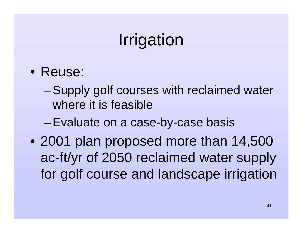## Irrigation

- Reuse:
	- – Supply golf courses with reclaimed water where it is feasible
	- –Evaluate on a case-by-case basis
- 2001 plan proposed more than 14,500 ac-ft/yr of 2050 reclaimed water supply for golf course and landscape irrigation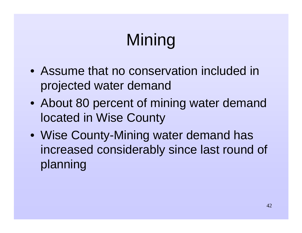# Mining

- Assume that no conservation included in projected water demand
- About 80 percent of mining water demand located in Wise County
- Wise County-Mining water demand has increased considerably since last round of planning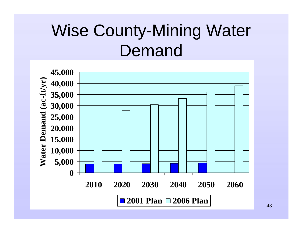# Wise County-Mining Water Demand



43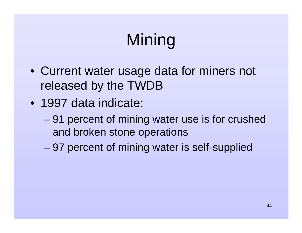# Mining

- Current water usage data for miners not released by the TWDB
- 1997 data indicate:
	- – 91 percent of mining water use is for crushed and broken stone operations
	- –97 percent of mining water is self-supplied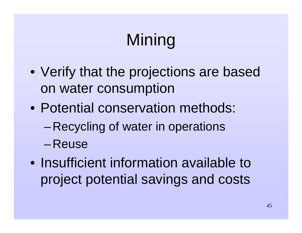# Mining

- Verify that the projections are based on water consumption
- Potential conservation methods:
	- –Recycling of water in operations
	- –Reuse
- Insufficient information available to project potential savings and costs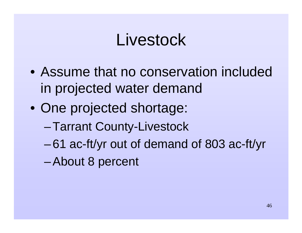#### Livestock

- Assume that no conservation included in projected water demand
- One projected shortage:
	- –Tarrant County-Livestock
	- –61 ac-ft/yr out of demand of 803 ac-ft/yr
	- –About 8 percent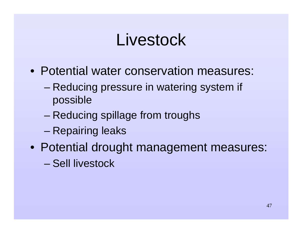### Livestock

- Potential water conservation measures:
	- – Reducing pressure in watering system if possible
	- –Reducing spillage from troughs
	- –Repairing leaks
- Potential drought management measures:
	- Sell livestock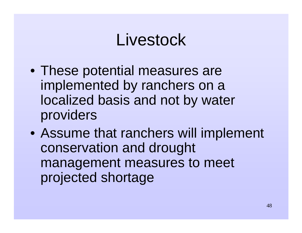### Livestock

- These potential measures are implemented by ranchers on a localized basis and not by water providers
- Assume that ranchers will implement conservation and drought management measures to meet projected shortage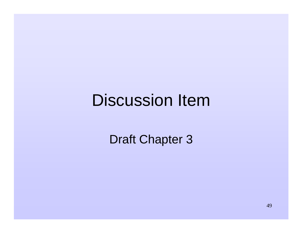#### Discussion Item

Draft Chapter 3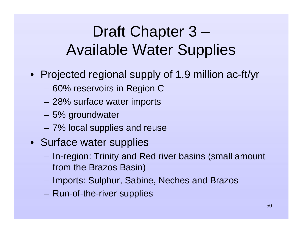- Projected regional supply of 1.9 million ac-ft/yr
	- 60% reservoirs in Region C
	- 28% surface water imports
	- 5% groundwater
	- 7% local supplies and reuse
- Surface water supplies
	- In-region: Trinity and Red river basins (small amount from the Brazos Basin)
	- Imports: Sulphur, Sabine, Neches and Brazos
	- Run-of-the-river supplies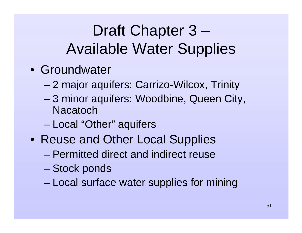- Groundwater
	- –2 major aquifers: Carrizo-Wilcox, Trinity
	- 3 minor aquifers: Woodbine, Queen City, **Nacatoch**
	- –Local "Other" aquifers
- Reuse and Other Local Supplies
	- Permitted direct and indirect reuse
	- –Stock ponds
	- Local surface water supplies for mining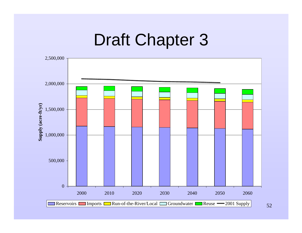#### Draft Chapter 3



52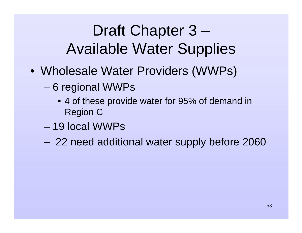- Wholesale Water Providers (WWPs)
	- – 6 regional WWPs
		- 4 of these provide water for 95% of demand in Region C
	- 19 local WWPs
	- –22 need additional water supply before 2060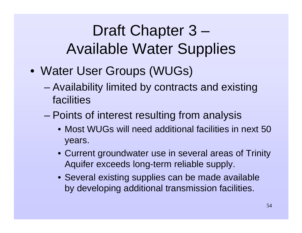- Water User Groups (WUGs)
	- – Availability limited by contracts and existing facilities
	- – Points of interest resulting from analysis
		- Most WUGs will need additional facilities in next 50 years.
		- Current groundwater use in several areas of Trinity Aquifer exceeds long-term reliable supply.
		- Several existing supplies can be made available by developing additional transmission facilities.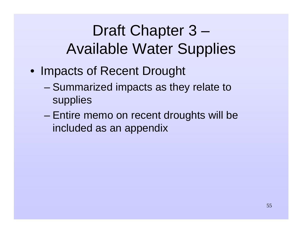- Impacts of Recent Drought
	- – Summarized impacts as they relate to supplies
	- – Entire memo on recent droughts will be included as an appendix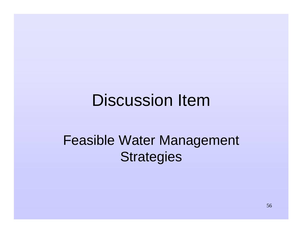#### Discussion Item

#### Feasible Water Management **Strategies**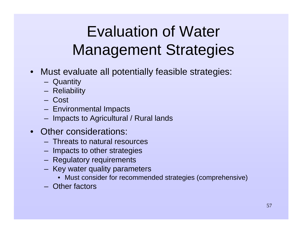### Evaluation of Water Management Strategies

- Must evaluate all potentially feasible strategies:
	- Quantity
	- Reliability
	- Cost
	- Environmental Impacts
	- Impacts to Agricultural / Rural lands
- • Other considerations:
	- Threats to natural resources
	- Impacts to other strategies
	- Regulatory requirements
	- Key water quality parameters
		- Must consider for recommended strategies (comprehensive)
	- Other factors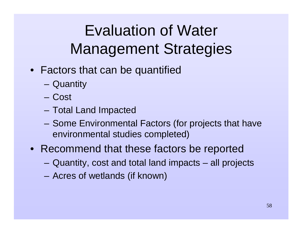### Evaluation of Water Management Strategies

- Factors that can be quantified
	- Quantity
	- Cost
	- Total Land Impacted
	- Some Environmental Factors (for projects that have environmental studies completed)
- Recommend that these factors be reported
	- Quantity, cost and total land impacts all projects
	- Acres of wetlands (if known)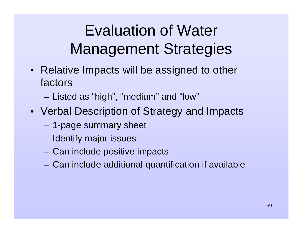### Evaluation of Water Management Strategies

- Relative Impacts will be assigned to other factors
	- Listed as "high", "medium" and "low"
- Verbal Description of Strategy and Impacts
	- 1-page summary sheet
	- Identify major issues
	- Can include positive impacts
	- Can include additional quantification if available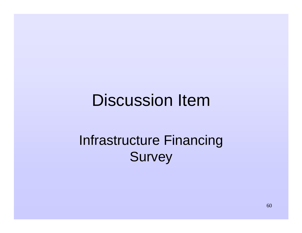#### Discussion Item

#### Infrastructure Financing **Survey**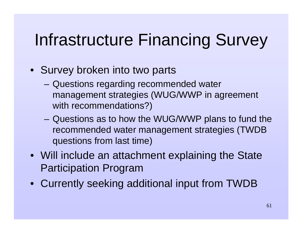### Infrastructure Financing Survey

- Survey broken into two parts
	- Questions regarding recommended water management strategies (WUG/WWP in agreement with recommendations?)
	- Questions as to how the WUG/WWP plans to fund the recommended water management strategies (TWDB questions from last time)
- Will include an attachment explaining the State Participation Program
- Currently seeking additional input from TWDB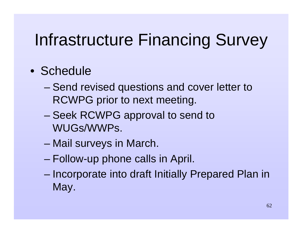## Infrastructure Financing Survey

#### • Schedule

- – Send revised questions and cover letter to RCWPG prior to next meeting.
- – Seek RCWPG approval to send to WUGs/WWPs.
- Mail surveys in March.
- –Follow-up phone calls in April.
- – Incorporate into draft Initially Prepared Plan in May.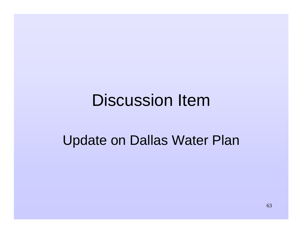#### Discussion Item

#### Update on Dallas Water Plan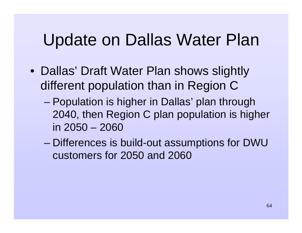#### Update on Dallas Water Plan

- Dallas' Draft Water Plan shows slightly different population than in Region C
	- – Population is higher in Dallas' plan through 2040, then Region C plan population is higher in 2050 – 2060
	- – Differences is build-out assumptions for DWU customers for 2050 and 2060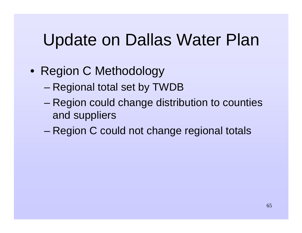### Update on Dallas Water Plan

- Region C Methodology
	- –Regional total set by TWDB
	- – Region could change distribution to counties and suppliers
	- –Region C could not change regional totals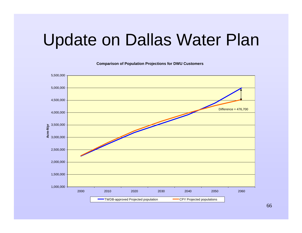#### Update on Dallas Water Plan

**Comparison of Population Projections for DWU Customers**



66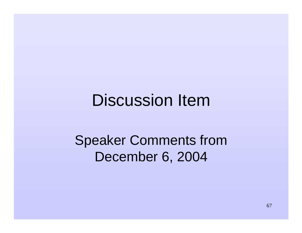#### Discussion Item

#### Speaker Comments from December 6, 2004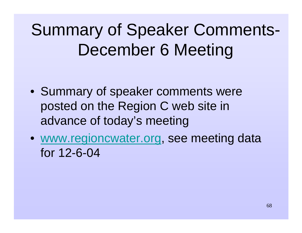# Summary of Speaker Comments-December 6 Meeting

- Summary of speaker comments were posted on the Region C web site in advance of today's meeting
- www.regioncwater.org, see meeting data for 12-6-04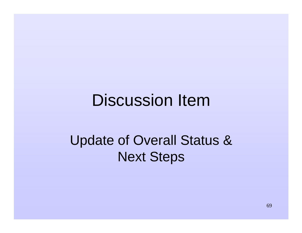#### Discussion Item

#### Update of Overall Status & Next Steps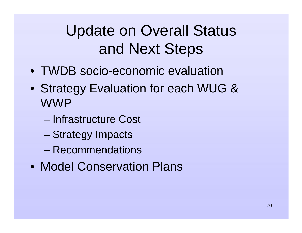### Update on Overall Status and Next Steps

- TWDB socio-economic evaluation
- Strategy Evaluation for each WUG & WWP
	- Infrastructure Cost
	- Strategy Impacts
	- Recommendations
- Model Conservation Plans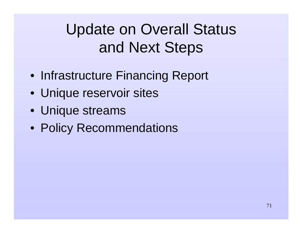### Update on Overall Status and Next Steps

- Infrastructure Financing Report
- Unique reservoir sites
- Unique streams
- Policy Recommendations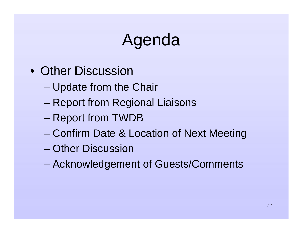### Agenda

- Other Discussion
	- –Update from the Chair
	- –Report from Regional Liaisons
	- –Report from TWDB
	- –Confirm Date & Location of Next Meeting
	- Other Discussion
	- –Acknowledgement of Guests/Comments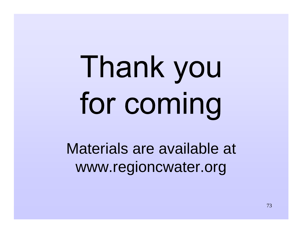## Thank you for coming

Materials are available at www.regioncwater.org